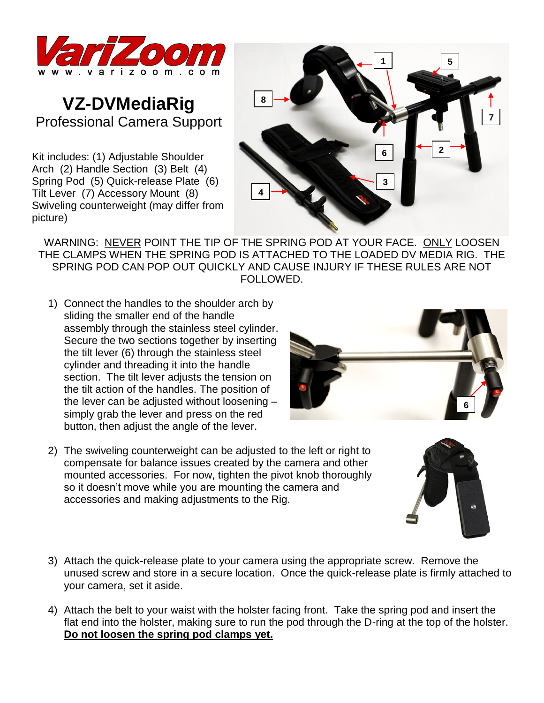

## **VZ-DVMediaRig** Professional Camera Support

Kit includes: (1) Adjustable Shoulder Arch (2) Handle Section (3) Belt (4) Spring Pod (5) Quick-release Plate (6) Tilt Lever (7) Accessory Mount (8) Swiveling counterweight (may differ from picture)



WARNING: NEVER POINT THE TIP OF THE SPRING POD AT YOUR FACE. ONLY LOOSEN THE CLAMPS WHEN THE SPRING POD IS ATTACHED TO THE LOADED DV MEDIA RIG. THE SPRING POD CAN POP OUT QUICKLY AND CAUSE INJURY IF THESE RULES ARE NOT FOLLOWED.

- 1) Connect the handles to the shoulder arch by sliding the smaller end of the handle assembly through the stainless steel cylinder. Secure the two sections together by inserting the tilt lever (6) through the stainless steel cylinder and threading it into the handle section. The tilt lever adiusts the tension on the tilt action of the handles. The position of the lever can be adjusted without loosening – simply grab the lever and press on the red button, then adjust the angle of the lever.
- 2) The swiveling counterweight can be adjusted to the left or right to compensate for balance issues created by the camera and other mounted accessories. For now, tighten the pivot knob thoroughly so it doesn't move while you are mounting the camera and accessories and making adjustments to the Rig.
- 3) Attach the quick-release plate to your camera using the appropriate screw. Remove the unused screw and store in a secure location. Once the quick-release plate is firmly attached to your camera, set it aside.
- 4) Attach the belt to your waist with the holster facing front. Take the spring pod and insert the flat end into the holster, making sure to run the pod through the D-ring at the top of the holster. **Do not loosen the spring pod clamps yet.**